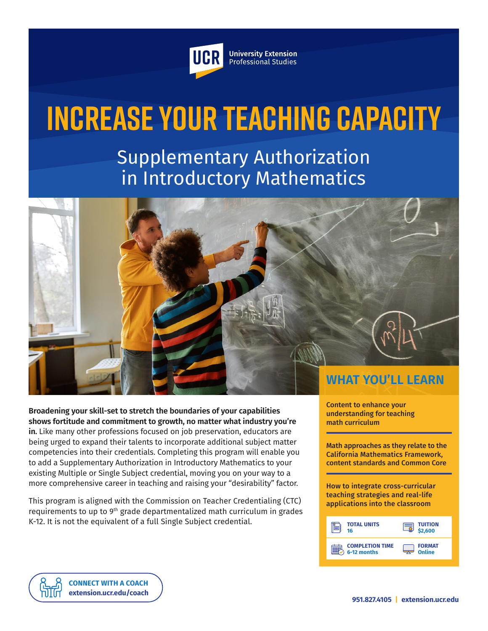

**University Extension** Professional Studies

# **Increase Your Teaching Capacity**

Supplementary Authorization in Introductory Mathematics

**WHAT YOU'LL LEARN**

**Broadening your skill-set to stretch the boundaries of your capabilities shows fortitude and commitment to growth, no matter what industry you're in.** Like many other professions focused on job preservation, educators are being urged to expand their talents to incorporate additional subject matter competencies into their credentials. Completing this program will enable you to add a Supplementary Authorization in Introductory Mathematics to your existing Multiple or Single Subject credential, moving you on your way to a more comprehensive career in teaching and raising your "desirability" factor.

This program is aligned with the Commission on Teacher Credentialing (CTC) requirements to up to 9<sup>th</sup> grade departmentalized math curriculum in grades K-12. It is not the equivalent of a full Single Subject credential.

Content to enhance your understanding for teaching math curriculum

Math approaches as they relate to the California Mathematics Framework, content standards and Common Core

How to integrate cross-curricular teaching strategies and real-life applications into the classroom



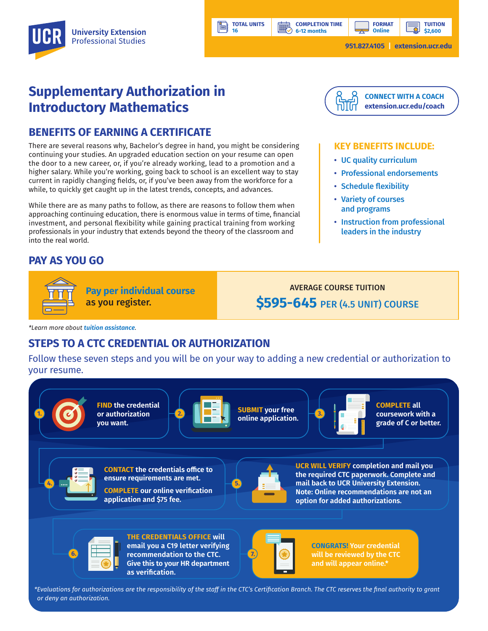# **Supplementary Authorization in Introductory Mathematics**

### **BENEFITS OF EARNING A CERTIFICATE**

There are several reasons why, Bachelor's degree in hand, you might be considering continuing your studies. An upgraded education section on your resume can open the door to a new career, or, if you're already working, lead to a promotion and a higher salary. While you're working, going back to school is an excellent way to stay current in rapidly changing fields, or, if you've been away from the workforce for a while, to quickly get caught up in the latest trends, concepts, and advances.

While there are as many paths to follow, as there are reasons to follow them when approaching continuing education, there is enormous value in terms of time, financial investment, and personal flexibility while gaining practical training from working professionals in your industry that extends beyond the theory of the classroom and into the real world.

## **PAY AS YOU GO**



**Pay per individual course** as you register.

AVERAGE COURSE TUITION **\$595-645** PER (4.5 UNIT) COURSE

*\*Learn more about [tuition assistance](https://extension.ucr.edu/helpcenterstudentresources/financialandtuitionassistance).*

## **STEPS TO A CTC CREDENTIAL OR AUTHORIZATION**

Follow these seven steps and you will be on your way to adding a new credential or authorization to your resume.

**TOTAL UNITS 16** 





**email you a C19 letter verifying recommendation to the CTC.**  $\begin{array}{|c|c|c|c|}\hline \textbf{0} & \textbf{0} & \textbf{0}\ \hline \textbf{1} & \textbf{0} & \textbf{0}\ \hline \textbf{2} & \textbf{0} & \textbf{0}\ \hline \textbf{3} & \textbf{0} & \textbf{0}\ \hline \textbf{4} & \textbf{0} & \textbf{0}\ \hline \textbf{5} & \textbf{0} & \textbf{0}\ \hline \textbf{6} & \textbf{0} & \textbf{0}\ \hline \textbf{7} & \textbf{0} &$ **Give this to your HR department as verification.**



**CONGRATS! Your credential will be reviewed by the CTC and will appear online.\*** 

*\*Evaluations for authorizations are the responsibility of the staff in the CTC's Certification Branch. The CTC reserves the final authority to grant or deny an authorization.*



#### **KEY BENEFITS INCLUDE:**

- UC quality curriculum
- Professional endorsements
- Schedule flexibility
- Variety of courses and programs
- Instruction from professional leaders in the industry